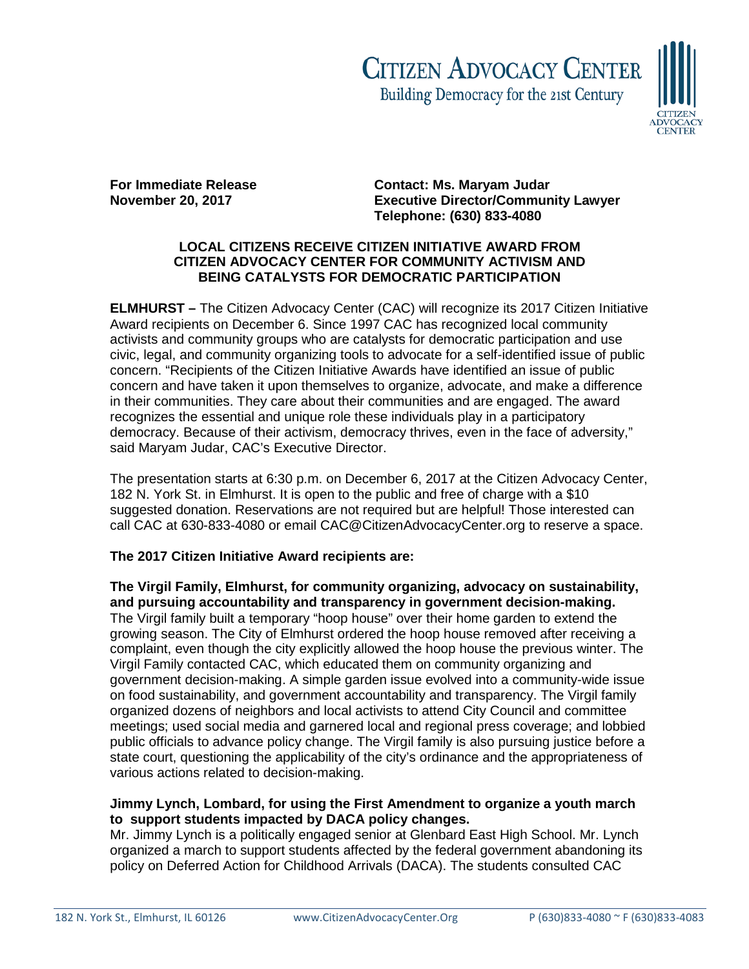# **CITIZEN ADVOCACY CENTER** Building Democracy for the 21st Century



**For Immediate Release Contact: Ms. Maryam Judar<br>November 20. 2017 Contact: Executive Director/Commun Executive Director/Community Lawyer Telephone: (630) 833-4080**

## **LOCAL CITIZENS RECEIVE CITIZEN INITIATIVE AWARD FROM CITIZEN ADVOCACY CENTER FOR COMMUNITY ACTIVISM AND BEING CATALYSTS FOR DEMOCRATIC PARTICIPATION**

**ELMHURST –** The Citizen Advocacy Center (CAC) will recognize its 2017 Citizen Initiative Award recipients on December 6. Since 1997 CAC has recognized local community activists and community groups who are catalysts for democratic participation and use civic, legal, and community organizing tools to advocate for a self-identified issue of public concern. "Recipients of the Citizen Initiative Awards have identified an issue of public concern and have taken it upon themselves to organize, advocate, and make a difference in their communities. They care about their communities and are engaged. The award recognizes the essential and unique role these individuals play in a participatory democracy. Because of their activism, democracy thrives, even in the face of adversity," said Maryam Judar, CAC's Executive Director.

The presentation starts at 6:30 p.m. on December 6, 2017 at the Citizen Advocacy Center, 182 N. York St. in Elmhurst. It is open to the public and free of charge with a \$10 suggested donation. Reservations are not required but are helpful! Those interested can call CAC at 630-833-4080 or email CAC@CitizenAdvocacyCenter.org to reserve a space.

## **The 2017 Citizen Initiative Award recipients are:**

**The Virgil Family, Elmhurst, for community organizing, advocacy on sustainability, and pursuing accountability and transparency in government decision-making.**  The Virgil family built a temporary "hoop house" over their home garden to extend the growing season. The City of Elmhurst ordered the hoop house removed after receiving a complaint, even though the city explicitly allowed the hoop house the previous winter. The Virgil Family contacted CAC, which educated them on community organizing and government decision-making. A simple garden issue evolved into a community-wide issue on food sustainability, and government accountability and transparency. The Virgil family organized dozens of neighbors and local activists to attend City Council and committee meetings; used social media and garnered local and regional press coverage; and lobbied public officials to advance policy change. The Virgil family is also pursuing justice before a state court, questioning the applicability of the city's ordinance and the appropriateness of various actions related to decision-making.

### **Jimmy Lynch, Lombard, for using the First Amendment to organize a youth march to support students impacted by DACA policy changes.**

Mr. Jimmy Lynch is a politically engaged senior at Glenbard East High School. Mr. Lynch organized a march to support students affected by the federal government abandoning its policy on Deferred Action for Childhood Arrivals (DACA). The students consulted CAC